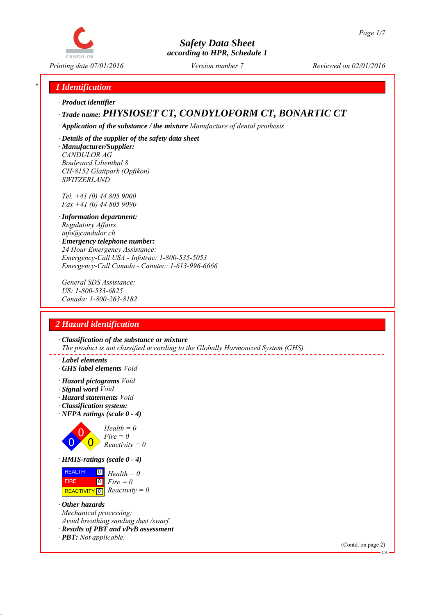

*Printing date 07/01/2016 Reviewed on 02/01/2016 Version number 7*

# *\* 1 Identification*

*∙ Product identifier*

# *∙ Trade name: PHYSIOSET CT, CONDYLOFORM CT, BONARTIC CT*

*∙ Application of the substance / the mixture Manufacture of dental prothesis*

*∙ Details of the supplier of the safety data sheet ∙ Manufacturer/Supplier: CANDULOR AG Boulevard Lilienthal 8 CH-8152 Glattpark (Opfikon) SWITZERLAND*

*Tel. +41 (0) 44 805 9000 Fax +41 (0) 44 805 9090*

- *∙ Information department: Regulatory Affairs info@candulor.ch*
- *∙ Emergency telephone number: 24 Hour Emergency Assistance: Emergency-Call USA - Infotrac: 1-800-535-5053 Emergency-Call Canada - Canutec: 1-613-996-6666*

*General SDS Assistance: US: 1-800-533-6825 Canada: 1-800-263-8182*

# *2 Hazard identification*

*∙ Classification of the substance or mixture The product is not classified according to the Globally Harmonized System (GHS).*

- *∙ Label elements*
- *∙ GHS label elements Void*
- *∙ Hazard pictograms Void*
- *∙ Signal word Void*
- *∙ Hazard statements Void*
- *∙ Classification system:*
- *∙ NFPA ratings (scale 0 4)*



 HEALTH 0 *Health = 0*

 FIRE **REACTIVITY** 0  $\boxed{0}$ *Fire = 0 Reactivity = 0*

- *∙ Other hazards Mechanical processing: Avoid breathing sanding dust /swarf.*
- *∙ Results of PBT and vPvB assessment*
- *∙ PBT: Not applicable.*

(Contd. on page 2)

 $\alpha$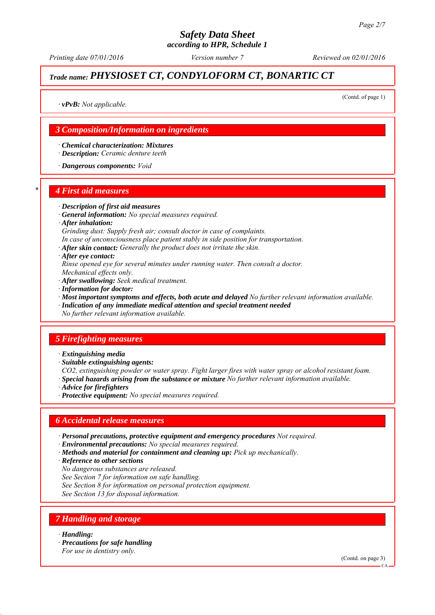*Printing date 07/01/2016 Reviewed on 02/01/2016 Version number 7*

# *Trade name: PHYSIOSET CT, CONDYLOFORM CT, BONARTIC CT*

(Contd. of page 1)

*∙ vPvB: Not applicable.*

# *3 Composition/Information on ingredients*

*∙ Chemical characterization: Mixtures ∙ Description: Ceramic denture teeth*

*∙ Dangerous components: Void*

#### *\* 4 First aid measures*

*∙ Description of first aid measures*

- *∙ General information: No special measures required.*
- *∙ After inhalation:*
- *Grinding dust: Supply fresh air; consult doctor in case of complaints.*
- *In case of unconsciousness place patient stably in side position for transportation.*
- *∙ After skin contact: Generally the product does not irritate the skin.*
- *∙ After eye contact:*
- *Rinse opened eye for several minutes under running water. Then consult a doctor. Mechanical effects only.*
- *∙ After swallowing: Seek medical treatment.*
- *∙ Information for doctor:*
- *∙ Most important symptoms and effects, both acute and delayed No further relevant information available.*
- *∙ Indication of any immediate medical attention and special treatment needed*
- *No further relevant information available.*

#### *5 Firefighting measures*

- *∙ Extinguishing media*
- *∙ Suitable extinguishing agents:*
- *CO2, extinguishing powder or water spray. Fight larger fires with water spray or alcohol resistant foam.*
- *∙ Special hazards arising from the substance or mixture No further relevant information available.*
- *∙ Advice for firefighters*
- *∙ Protective equipment: No special measures required.*

# *6 Accidental release measures*

- *∙ Personal precautions, protective equipment and emergency procedures Not required.*
- *∙ Environmental precautions: No special measures required.*
- *∙ Methods and material for containment and cleaning up: Pick up mechanically.*
- *∙ Reference to other sections*
- *No dangerous substances are released.*
- *See Section 7 for information on safe handling.*
- *See Section 8 for information on personal protection equipment.*
- *See Section 13 for disposal information.*

# *7 Handling and storage*

- *∙ Handling:*
- *∙ Precautions for safe handling*

*For use in dentistry only.*

(Contd. on page 3)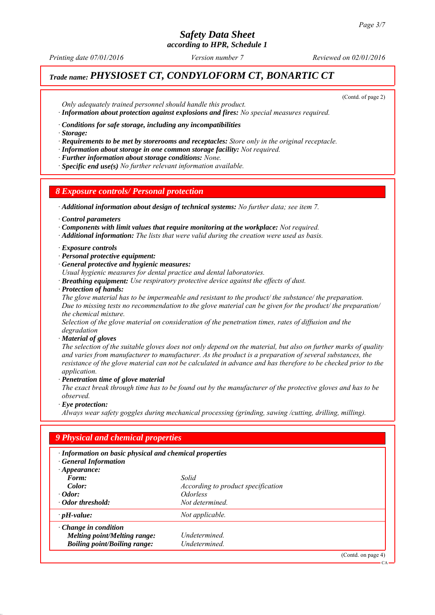# *Safety Data Sheet*

*according to HPR, Schedule 1*

*Printing date 07/01/2016 Reviewed on 02/01/2016 Version number 7*

# *Trade name: PHYSIOSET CT, CONDYLOFORM CT, BONARTIC CT*

(Contd. of page 2)

*Only adequately trained personnel should handle this product. ∙ Information about protection against explosions and fires: No special measures required.*

*∙ Conditions for safe storage, including any incompatibilities*

*∙ Storage:*

*∙ Requirements to be met by storerooms and receptacles: Store only in the original receptacle.*

*∙ Information about storage in one common storage facility: Not required.*

*∙ Further information about storage conditions: None.*

*∙ Specific end use(s) No further relevant information available.*

# *8 Exposure controls/ Personal protection*

*∙ Additional information about design of technical systems: No further data; see item 7.*

*∙ Control parameters*

*∙ Components with limit values that require monitoring at the workplace: Not required.*

*∙ Additional information: The lists that were valid during the creation were used as basis.*

*∙ Exposure controls*

*∙ Personal protective equipment:*

*∙ General protective and hygienic measures:*

*Usual hygienic measures for dental practice and dental laboratories.*

*∙ Breathing equipment: Use respiratory protective device against the effects of dust.*

*∙ Protection of hands:*

*The glove material has to be impermeable and resistant to the product/ the substance/ the preparation. Due to missing tests no recommendation to the glove material can be given for the product/ the preparation/ the chemical mixture.*

*Selection of the glove material on consideration of the penetration times, rates of diffusion and the degradation*

*∙ Material of gloves*

*The selection of the suitable gloves does not only depend on the material, but also on further marks of quality and varies from manufacturer to manufacturer. As the product is a preparation of several substances, the resistance of the glove material can not be calculated in advance and has therefore to be checked prior to the application.*

*∙ Penetration time of glove material*

*The exact break through time has to be found out by the manufacturer of the protective gloves and has to be observed.*

*∙ Eye protection:*

*Always wear safety goggles during mechanical processing (grinding, sawing /cutting, drilling, milling).*

| · Information on basic physical and chemical properties<br><b>General Information</b> |                                    |  |
|---------------------------------------------------------------------------------------|------------------------------------|--|
| $\cdot$ Appearance:<br>Form:                                                          | Solid                              |  |
| Color:                                                                                | According to product specification |  |
| $\cdot$ Odor:                                                                         | <i><u><b>Odorless</b></u></i>      |  |
| Odor threshold:                                                                       | Not determined.                    |  |
| $\cdot$ pH-value:                                                                     | Not applicable.                    |  |
| $\cdot$ Change in condition                                                           |                                    |  |
| <b>Melting point/Melting range:</b>                                                   | Undetermined.                      |  |
| <b>Boiling point/Boiling range:</b>                                                   | Undetermined.                      |  |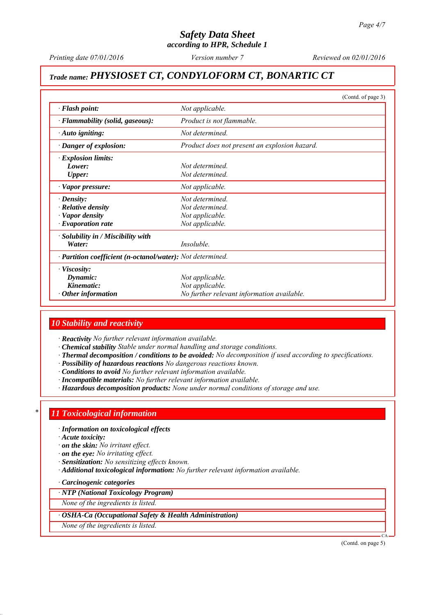*Printing date 07/01/2016 Reviewed on 02/01/2016 Version number 7*

# *Trade name: PHYSIOSET CT, CONDYLOFORM CT, BONARTIC CT*

|                                                            | (Contd. of page 3)                            |  |
|------------------------------------------------------------|-----------------------------------------------|--|
| $\cdot$ Flash point:                                       | Not applicable.                               |  |
| · Flammability (solid, gaseous):                           | Product is not flammable.                     |  |
| · Auto igniting:                                           | Not determined                                |  |
| · Danger of explosion:                                     | Product does not present an explosion hazard. |  |
| $\cdot$ Explosion limits:                                  |                                               |  |
| Lower:                                                     | Not determined                                |  |
| Upper:                                                     | Not determined.                               |  |
| · Vapor pressure:                                          | Not applicable.                               |  |
| $\cdot$ Density:                                           | Not determined                                |  |
| $\cdot$ Relative density                                   | Not determined.                               |  |
| $\cdot$ Vapor density                                      | Not applicable.                               |  |
| $\cdot$ Evaporation rate                                   | Not applicable.                               |  |
| $\cdot$ Solubility in / Miscibility with                   |                                               |  |
| Water:                                                     | Insoluble.                                    |  |
| · Partition coefficient (n-octanol/water): Not determined. |                                               |  |
| $\cdot$ Viscosity:                                         |                                               |  |
| Dynamic:                                                   | Not applicable.                               |  |
| Kinematic:                                                 | Not applicable.                               |  |
| $\cdot$ Other information                                  | No further relevant information available.    |  |

# *10 Stability and reactivity*

*∙ Reactivity No further relevant information available.*

- *∙ Chemical stability Stable under normal handling and storage conditions.*
- *∙ Thermal decomposition / conditions to be avoided: No decomposition if used according to specifications.*
- *∙ Possibility of hazardous reactions No dangerous reactions known.*
- *∙ Conditions to avoid No further relevant information available.*
- *∙ Incompatible materials: No further relevant information available.*
- *∙ Hazardous decomposition products: None under normal conditions of storage and use.*

# *\* 11 Toxicological information*

- *∙ Information on toxicological effects*
- *∙ Acute toxicity:*
- *∙ on the skin: No irritant effect.*
- *∙ on the eye: No irritating effect.*
- *∙ Sensitization: No sensitizing effects known.*
- *∙ Additional toxicological information: No further relevant information available.*
- *∙ Carcinogenic categories*

#### *∙ NTP (National Toxicology Program)*

*None of the ingredients is listed.*

- *∙ OSHA-Ca (Occupational Safety & Health Administration)*
- *None of the ingredients is listed.*

(Contd. on page 5)

CA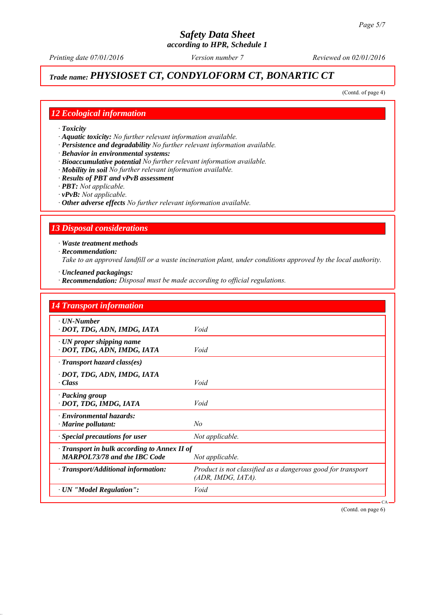# *Trade name: PHYSIOSET CT, CONDYLOFORM CT, BONARTIC CT*

(Contd. of page 4)

# *12 Ecological information*

- *∙ Toxicity*
- *∙ Aquatic toxicity: No further relevant information available.*
- *∙ Persistence and degradability No further relevant information available.*
- *∙ Behavior in environmental systems:*
- *∙ Bioaccumulative potential No further relevant information available.*
- *∙ Mobility in soil No further relevant information available.*
- *∙ Results of PBT and vPvB assessment*
- *∙ PBT: Not applicable.*
- *∙ vPvB: Not applicable.*
- *∙ Other adverse effects No further relevant information available.*

# *13 Disposal considerations*

*∙ Waste treatment methods*

*∙ Recommendation:*

*Take to an approved landfill or a waste incineration plant, under conditions approved by the local authority.*

- *∙ Uncleaned packagings:*
- *∙ Recommendation: Disposal must be made according to official regulations.*

| <b>14 Transport information</b>                                                           |                                                                                   |  |
|-------------------------------------------------------------------------------------------|-----------------------------------------------------------------------------------|--|
| $\cdot$ UN-Number<br>· DOT, TDG, ADN, IMDG, IATA                                          | Void                                                                              |  |
| $\cdot$ UN proper shipping name<br>· DOT, TDG, ADN, IMDG, IATA                            | Void                                                                              |  |
| $\cdot$ Transport hazard class(es)                                                        |                                                                                   |  |
| · DOT, TDG, ADN, IMDG, IATA<br>· Class                                                    | Void                                                                              |  |
| · Packing group<br>· DOT, TDG, IMDG, IATA                                                 | Void                                                                              |  |
| · Environmental hazards:<br>$\cdot$ Marine pollutant:                                     | No                                                                                |  |
| · Special precautions for user                                                            | Not applicable.                                                                   |  |
| $\cdot$ Transport in bulk according to Annex II of<br><b>MARPOL73/78 and the IBC Code</b> | Not applicable.                                                                   |  |
| · Transport/Additional information:                                                       | Product is not classified as a dangerous good for transport<br>(ADR, IMDG, IATA). |  |
| · UN "Model Regulation":                                                                  | Void                                                                              |  |

(Contd. on page 6)

CA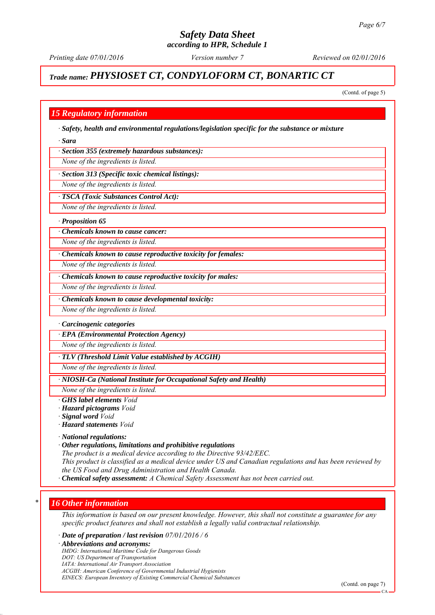*Printing date 07/01/2016 Reviewed on 02/01/2016 Version number 7*

# *Trade name: PHYSIOSET CT, CONDYLOFORM CT, BONARTIC CT*

(Contd. of page 5)

# *15 Regulatory information*

*∙ Safety, health and environmental regulations/legislation specific for the substance or mixture*

*∙ Sara*

*∙ Section 355 (extremely hazardous substances):*

*None of the ingredients is listed.*

*∙ Section 313 (Specific toxic chemical listings):*

*None of the ingredients is listed.*

#### *∙ TSCA (Toxic Substances Control Act):*

*None of the ingredients is listed.*

#### *∙ Proposition 65*

*∙ Chemicals known to cause cancer:*

*None of the ingredients is listed.*

*∙ Chemicals known to cause reproductive toxicity for females:*

*None of the ingredients is listed.*

*∙ Chemicals known to cause reproductive toxicity for males:*

*None of the ingredients is listed.*

*∙ Chemicals known to cause developmental toxicity:*

*None of the ingredients is listed.*

#### *∙ Carcinogenic categories*

*∙ EPA (Environmental Protection Agency)*

*None of the ingredients is listed.*

#### *∙ TLV (Threshold Limit Value established by ACGIH)*

*None of the ingredients is listed.*

#### *∙ NIOSH-Ca (National Institute for Occupational Safety and Health)*

*None of the ingredients is listed.*

- *∙ GHS label elements Void*
- *∙ Hazard pictograms Void*
- *∙ Signal word Void*
- *∙ Hazard statements Void*
- *∙ National regulations:*
- *∙ Other regulations, limitations and prohibitive regulations*

*The product is a medical device according to the Directive 93/42/EEC.*

*This product is classified as a medical device under US and Canadian regulations and has been reviewed by the US Food and Drug Administration and Health Canada.*

*∙ Chemical safety assessment: A Chemical Safety Assessment has not been carried out.*

# *\* 16 Other information*

*This information is based on our present knowledge. However, this shall not constitute a guarantee for any specific product features and shall not establish a legally valid contractual relationship.*

*∙ Date of preparation / last revision 07/01/2016 / 6*

*∙ Abbreviations and acronyms:*

*IMDG: International Maritime Code for Dangerous Goods*

- *DOT: US Department of Transportation*
- *IATA: International Air Transport Association*

*ACGIH: American Conference of Governmental Industrial Hygienists*

*EINECS: European Inventory of Existing Commercial Chemical Substances*